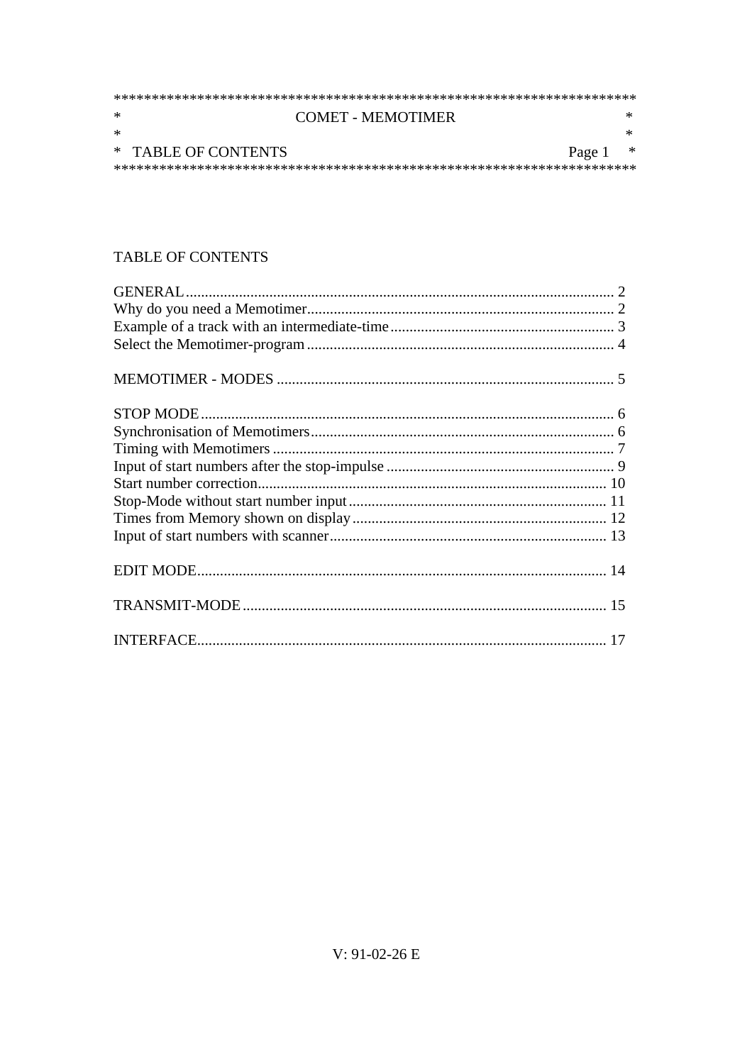| ∗      | <b>COMET - MEMOTIMER</b> |            |  |
|--------|--------------------------|------------|--|
| $\ast$ |                          |            |  |
|        | * TABLE OF CONTENTS      | Page $1$ * |  |
|        |                          |            |  |

# TABLE OF CONTENTS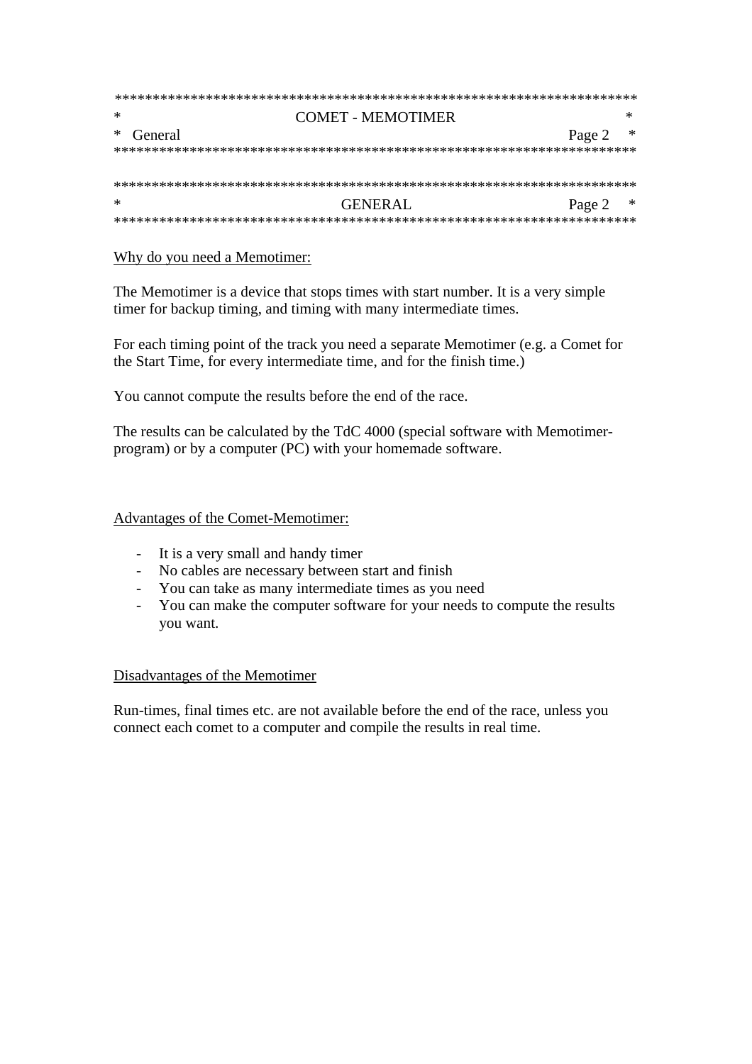| ∗         | COMET - MEMOTIMER |            |  |
|-----------|-------------------|------------|--|
| * General |                   | Page 2 $*$ |  |
|           |                   |            |  |
|           |                   |            |  |
|           |                   |            |  |
| ∗         | GENERAL           | Page 2 $*$ |  |
|           |                   |            |  |

# Why do you need a Memotimer:

The Memotimer is a device that stops times with start number. It is a very simple timer for backup timing, and timing with many intermediate times.

For each timing point of the track you need a separate Memotimer (e.g. a Comet for the Start Time, for every intermediate time, and for the finish time.)

You cannot compute the results before the end of the race.

The results can be calculated by the TdC 4000 (special software with Memotimerprogram) or by a computer (PC) with your homemade software.

## Advantages of the Comet-Memotimer:

- It is a very small and handy timer
- No cables are necessary between start and finish
- You can take as many intermediate times as you need
- You can make the computer software for your needs to compute the results you want.

## Disadvantages of the Memotimer

Run-times, final times etc. are not available before the end of the race, unless you connect each comet to a computer and compile the results in real time.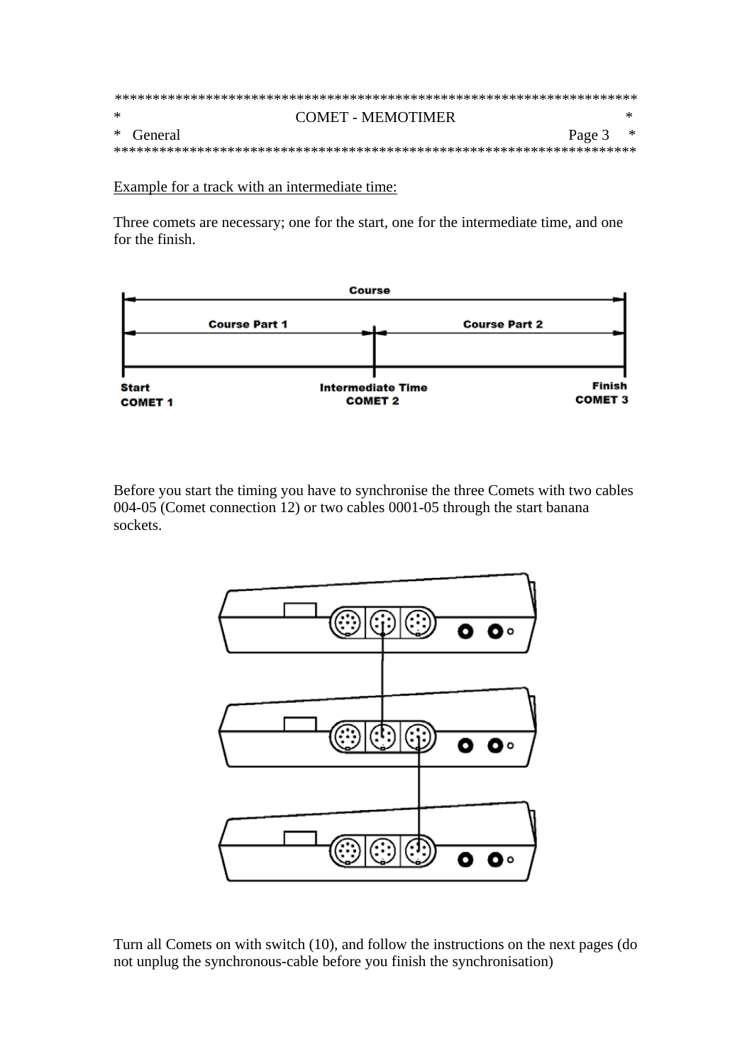| $\ast$ | <b>COMET - MEMOTIMER</b>  |  |  |  |  |
|--------|---------------------------|--|--|--|--|
|        | * General<br>Page $3$ $*$ |  |  |  |  |
|        |                           |  |  |  |  |

Example for a track with an intermediate time:

Three comets are necessary; one for the start, one for the intermediate time, and one for the finish.



Before you start the timing you have to synchronise the three Comets with two cables 004-05 (Comet connection 12) or two cables 0001-05 through the start banana sockets.



Turn all Comets on with switch (10), and follow the instructions on the next pages (do not unplug the synchronous-cable before you finish the synchronisation)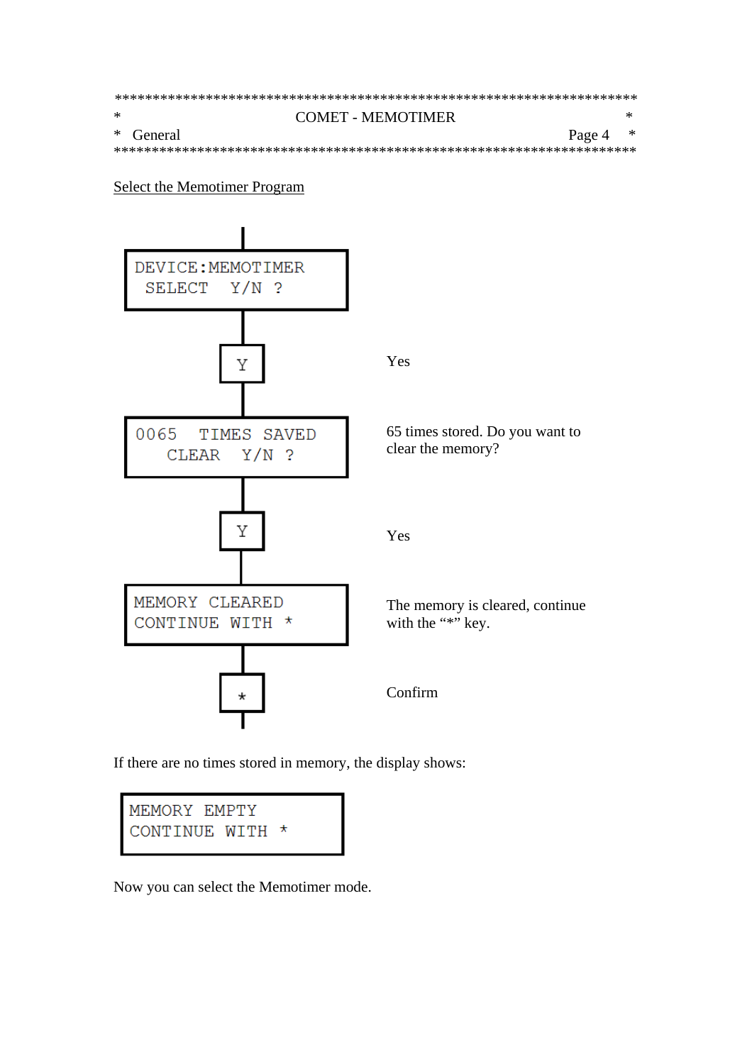| $\ast$ | COMET - MEMOTIMER       |  |  |  |  |
|--------|-------------------------|--|--|--|--|
|        | * General<br>Page 4 $*$ |  |  |  |  |
|        |                         |  |  |  |  |

**Select the Memotimer Program** 



If there are no times stored in memory, the display shows:



Now you can select the Memotimer mode.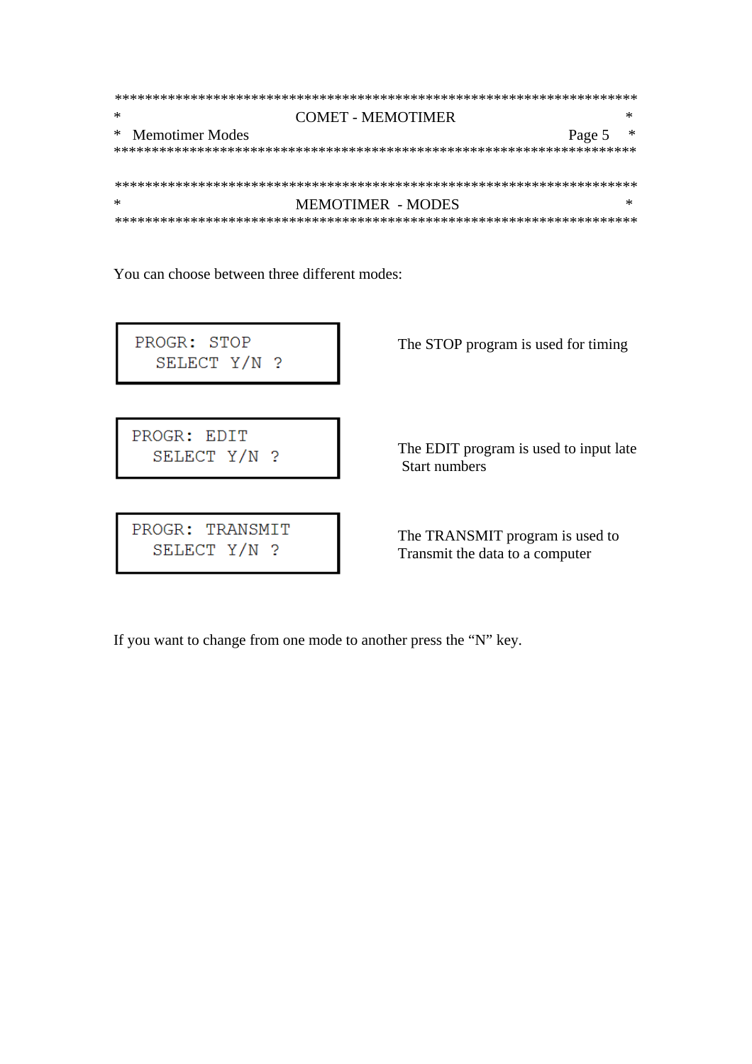| ∗ | COMET - MEMOTIMER           |   |  |  |
|---|-----------------------------|---|--|--|
|   | * Memotimer Modes<br>Page 5 | ж |  |  |
|   |                             |   |  |  |
|   |                             |   |  |  |
|   |                             |   |  |  |
| ∗ | MEMOTIMER - MODES           |   |  |  |
|   |                             |   |  |  |

You can choose between three different modes:

PROGR: STOP SELECT Y/N ?

The STOP program is used for timing

PROGR: EDIT SELECT Y/N ?

PROGR: TRANSMIT SELECT Y/N ?

The TRANSMIT program is used to

The EDIT program is used to input late

Start numbers

Transmit the data to a computer

If you want to change from one mode to another press the "N" key.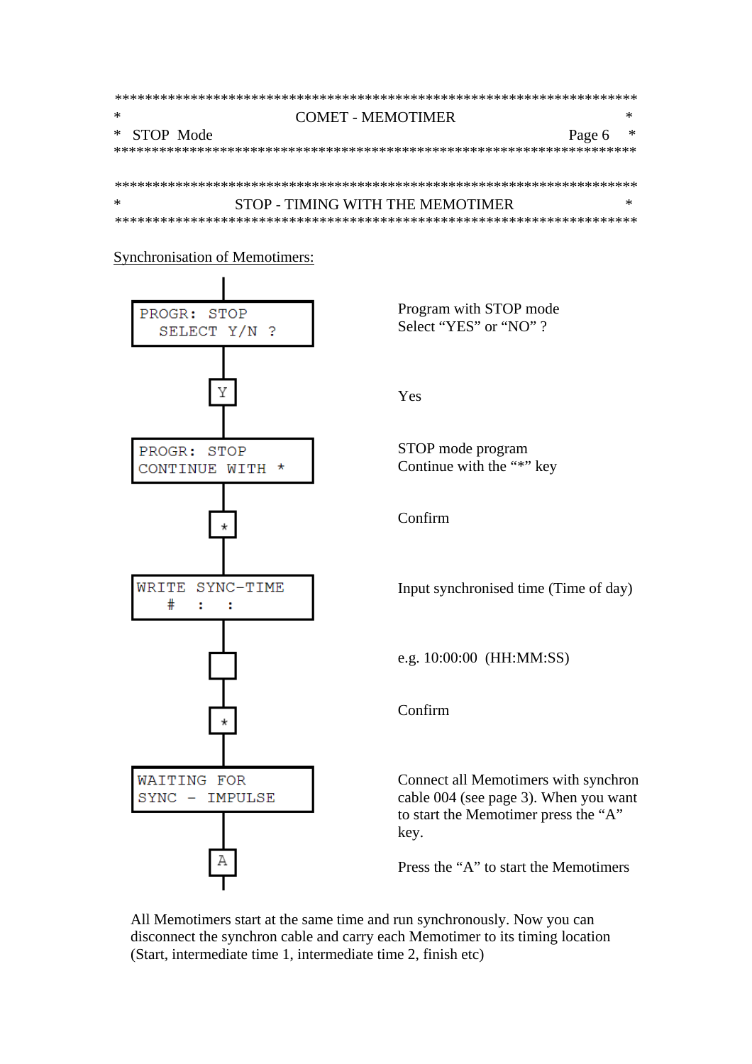| ∗ |             | COMET - MEMOTIMER                |        |   |  |  |
|---|-------------|----------------------------------|--------|---|--|--|
|   | * STOP Mode |                                  | Page 6 | ж |  |  |
|   |             |                                  |        |   |  |  |
|   |             |                                  |        |   |  |  |
|   |             |                                  |        |   |  |  |
| ∗ |             | STOP - TIMING WITH THE MEMOTIMER |        |   |  |  |
|   |             |                                  |        |   |  |  |

## **Synchronisation of Memotimers:**



Program with STOP mode Select "YES" or "NO"?

Yes

STOP mode program Continue with the "\*" key

Confirm

Input synchronised time (Time of day)

e.g. 10:00:00 (HH:MM:SS)

Confirm

Connect all Memotimers with synchron cable 004 (see page 3). When you want to start the Memotimer press the "A" key.

Press the "A" to start the Memotimers

All Memotimers start at the same time and run synchronously. Now you can disconnect the synchron cable and carry each Memotimer to its timing location (Start, intermediate time 1, intermediate time 2, finish etc)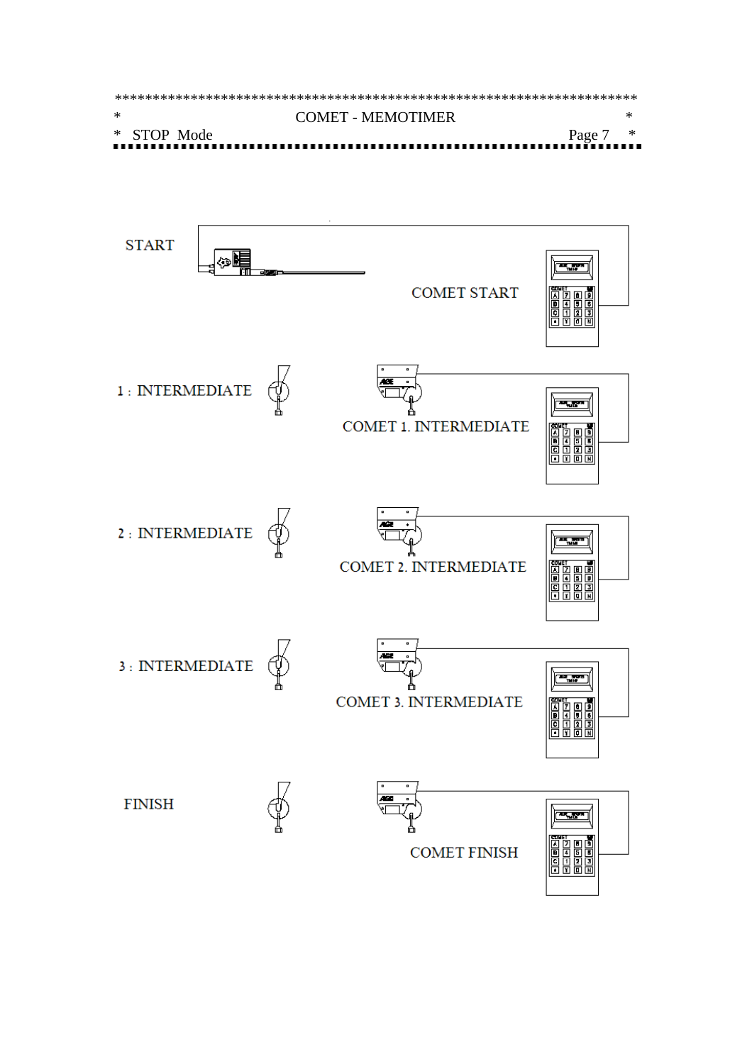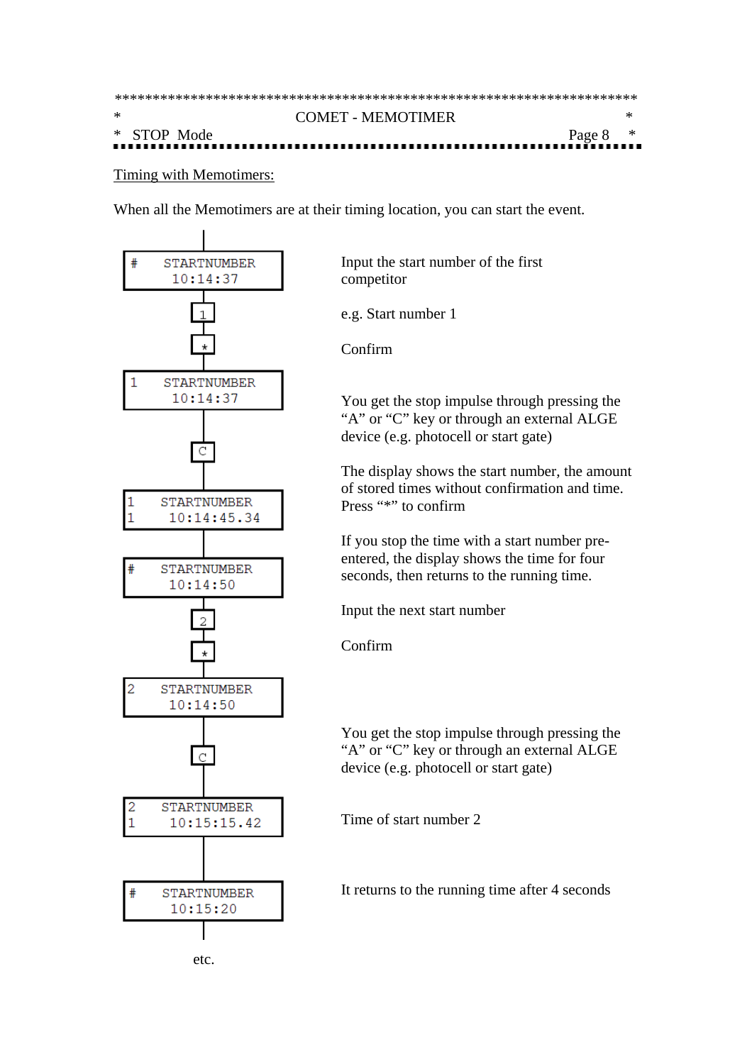| $\ast$ | <b>COMET - MEMOTIMER</b> |            |  |  |  |
|--------|--------------------------|------------|--|--|--|
|        | * STOP Mode              | Page $8$ * |  |  |  |
|        |                          |            |  |  |  |

Timing with Memotimers:

When all the Memotimers are at their timing location, you can start the event.





e.g. Start number 1

Confirm

You get the stop impulse through pressing the "A" or "C" key or through an external ALGE device (e.g. photocell or start gate)

The display shows the start number, the amount of stored times without confirmation and time. Press "\*" to confirm

If you stop the time with a start number preentered, the display shows the time for four seconds, then returns to the running time.

Input the next start number

Confirm

You get the stop impulse through pressing the "A" or "C" key or through an external ALGE device (e.g. photocell or start gate)

Time of start number 2

It returns to the running time after 4 seconds

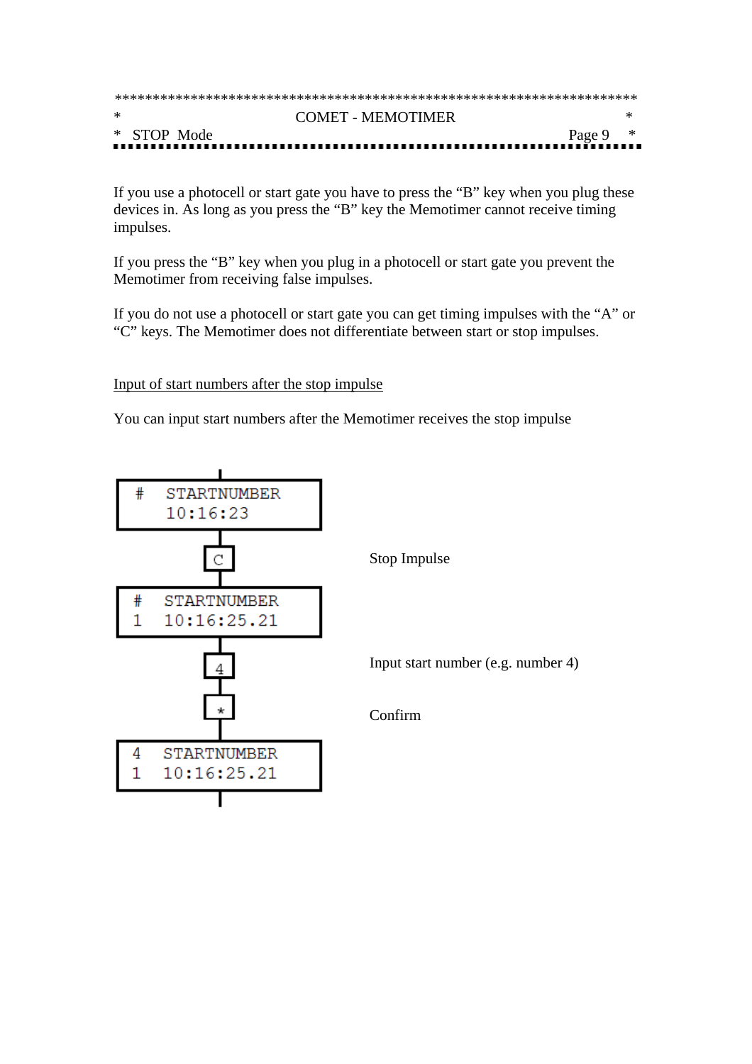| $\ast$<br><b>COMET - MEMOTIMER</b> |            |  |  |  |
|------------------------------------|------------|--|--|--|
| * STOP Mode                        | Page 9 $*$ |  |  |  |

If you use a photocell or start gate you have to press the "B" key when you plug these devices in. As long as you press the "B" key the Memotimer cannot receive timing impulses.

If you press the "B" key when you plug in a photocell or start gate you prevent the Memotimer from receiving false impulses.

If you do not use a photocell or start gate you can get timing impulses with the "A" or "C" keys. The Memotimer does not differentiate between start or stop impulses.

Input of start numbers after the stop impulse

You can input start numbers after the Memotimer receives the stop impulse

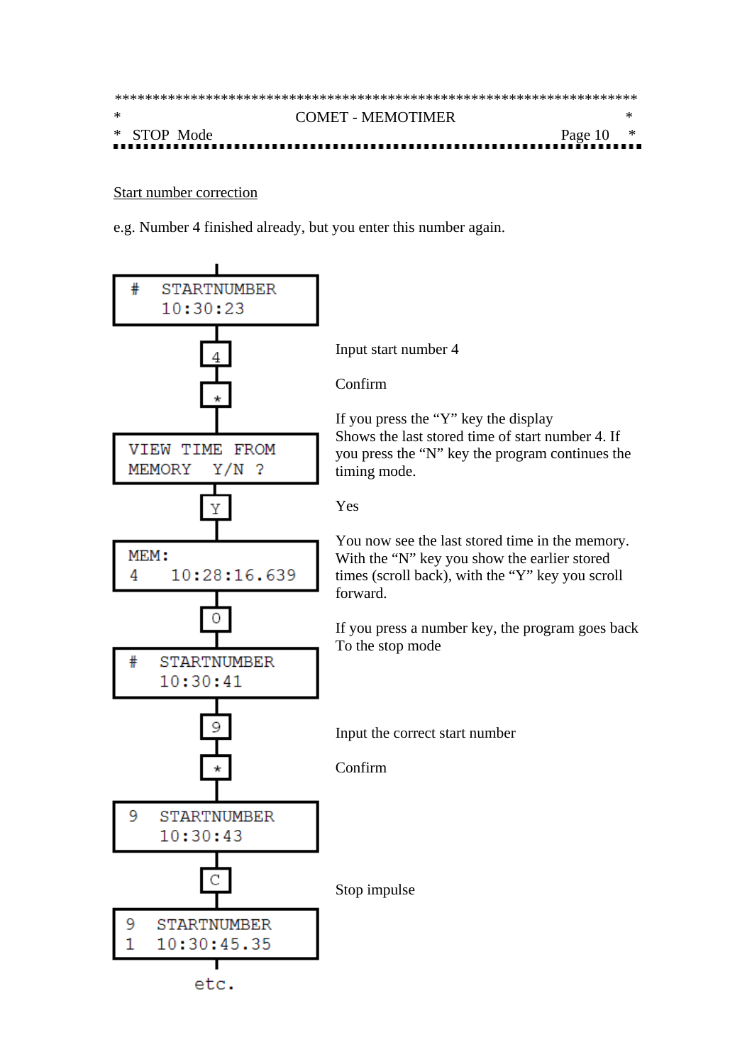| $\ast$<br><b>COMET - MEMOTIMER</b> |  |  |  |  |
|------------------------------------|--|--|--|--|
| * STOP Mode<br>Page $10$ $*$       |  |  |  |  |

#### Start number correction

e.g. Number 4 finished already, but you enter this number again.

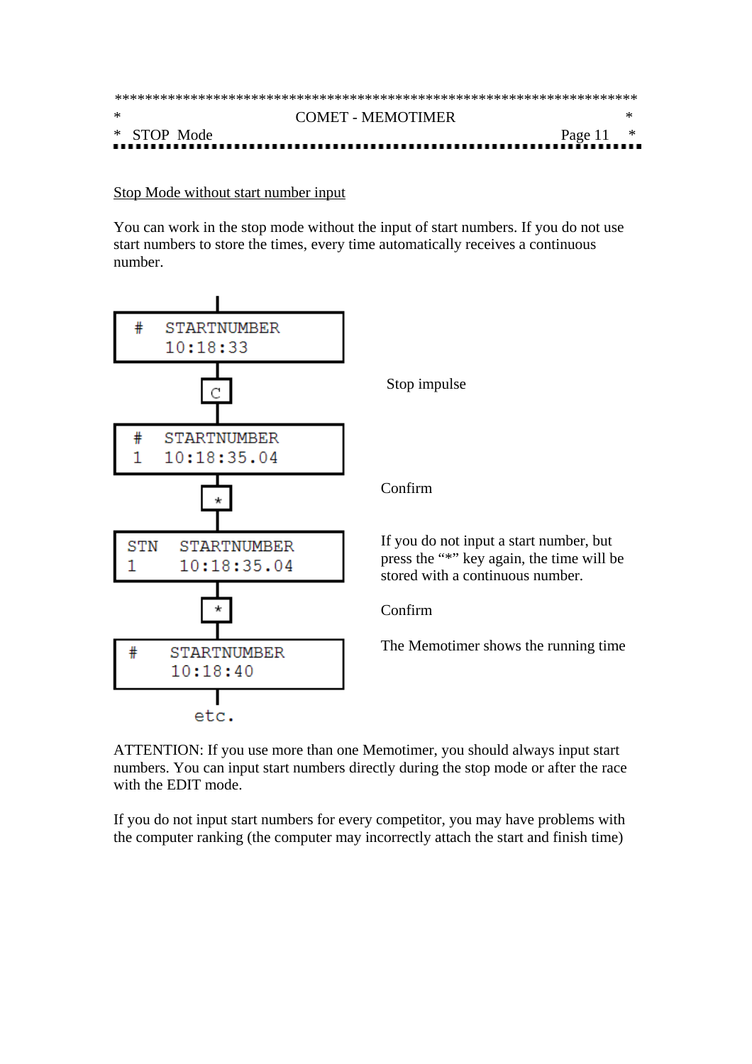| ∗<br><b>COMET - MEMOTIMER</b> |             |  |  |  |
|-------------------------------|-------------|--|--|--|
| * STOP Mode                   | Page 11 $*$ |  |  |  |

#### Stop Mode without start number input

You can work in the stop mode without the input of start numbers. If you do not use start numbers to store the times, every time automatically receives a continuous number.



ATTENTION: If you use more than one Memotimer, you should always input start numbers. You can input start numbers directly during the stop mode or after the race with the EDIT mode.

If you do not input start numbers for every competitor, you may have problems with the computer ranking (the computer may incorrectly attach the start and finish time)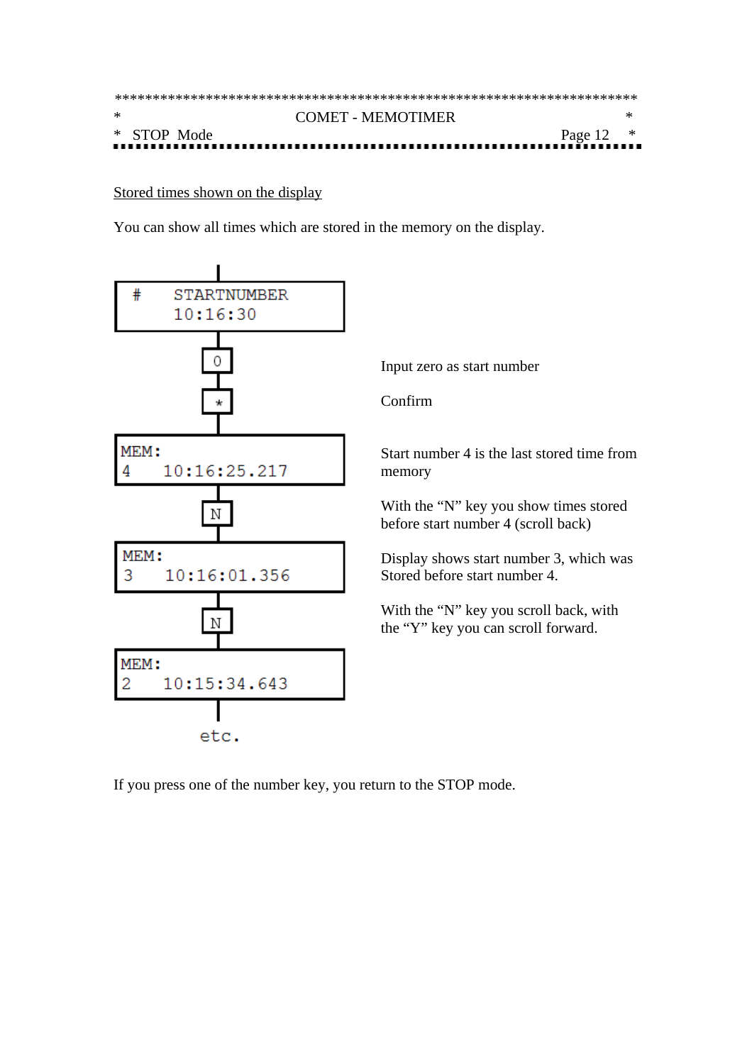| $\ast$ |  |             | COMET - MEMOTIMER |             |  |  |
|--------|--|-------------|-------------------|-------------|--|--|
|        |  | * STOP Mode |                   | Page $12$ * |  |  |
|        |  |             |                   |             |  |  |

Stored times shown on the display

You can show all times which are stored in the memory on the display.



If you press one of the number key, you return to the STOP mode.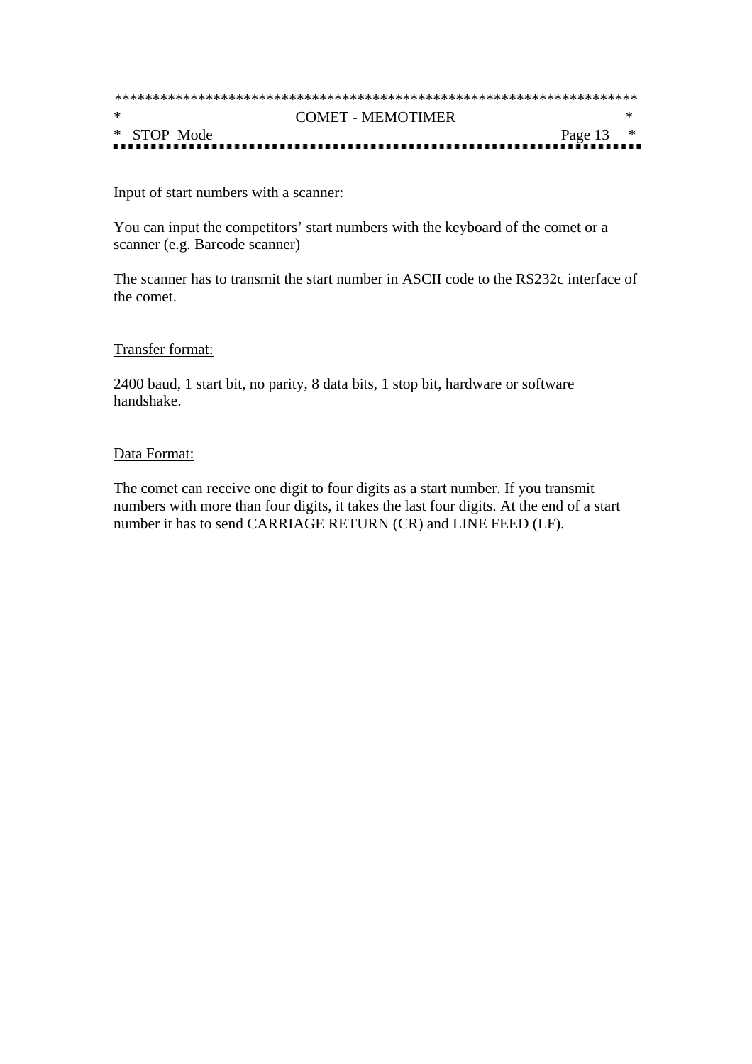| $\ast$<br><b>COMET - MEMOTIMER</b> |             |  |
|------------------------------------|-------------|--|
| * STOP Mode                        | Page $13$ * |  |

#### Input of start numbers with a scanner:

You can input the competitors' start numbers with the keyboard of the comet or a scanner (e.g. Barcode scanner)

The scanner has to transmit the start number in ASCII code to the RS232c interface of the comet.

#### Transfer format:

2400 baud, 1 start bit, no parity, 8 data bits, 1 stop bit, hardware or software handshake.

#### Data Format:

The comet can receive one digit to four digits as a start number. If you transmit numbers with more than four digits, it takes the last four digits. At the end of a start number it has to send CARRIAGE RETURN (CR) and LINE FEED (LF).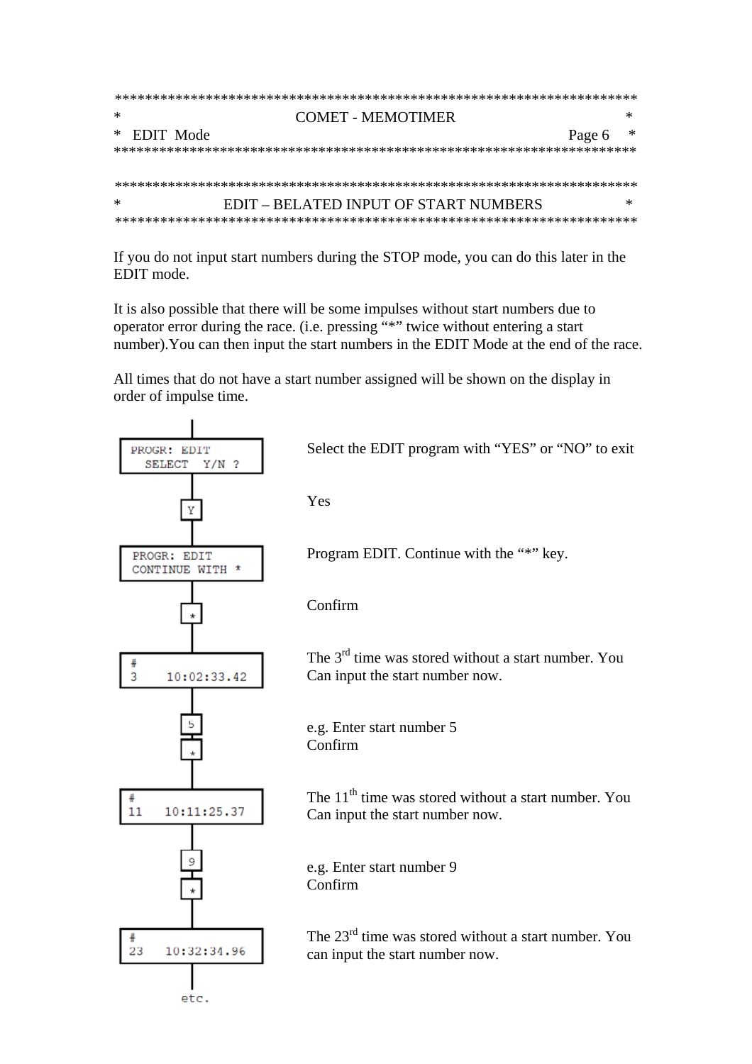| ∗ |  | COMET - MEMOTIMER                     |        |  |
|---|--|---------------------------------------|--------|--|
|   |  | $*$ EDIT Mode                         | Page 6 |  |
|   |  |                                       |        |  |
|   |  |                                       |        |  |
|   |  |                                       |        |  |
| ∗ |  | EDIT – BELATED INPUT OF START NUMBERS |        |  |
|   |  |                                       |        |  |

If you do not input start numbers during the STOP mode, you can do this later in the EDIT mode.

It is also possible that there will be some impulses without start numbers due to operator error during the race. (i.e. pressing "\*" twice without entering a start number). You can then input the start numbers in the EDIT Mode at the end of the race.

All times that do not have a start number assigned will be shown on the display in order of impulse time.

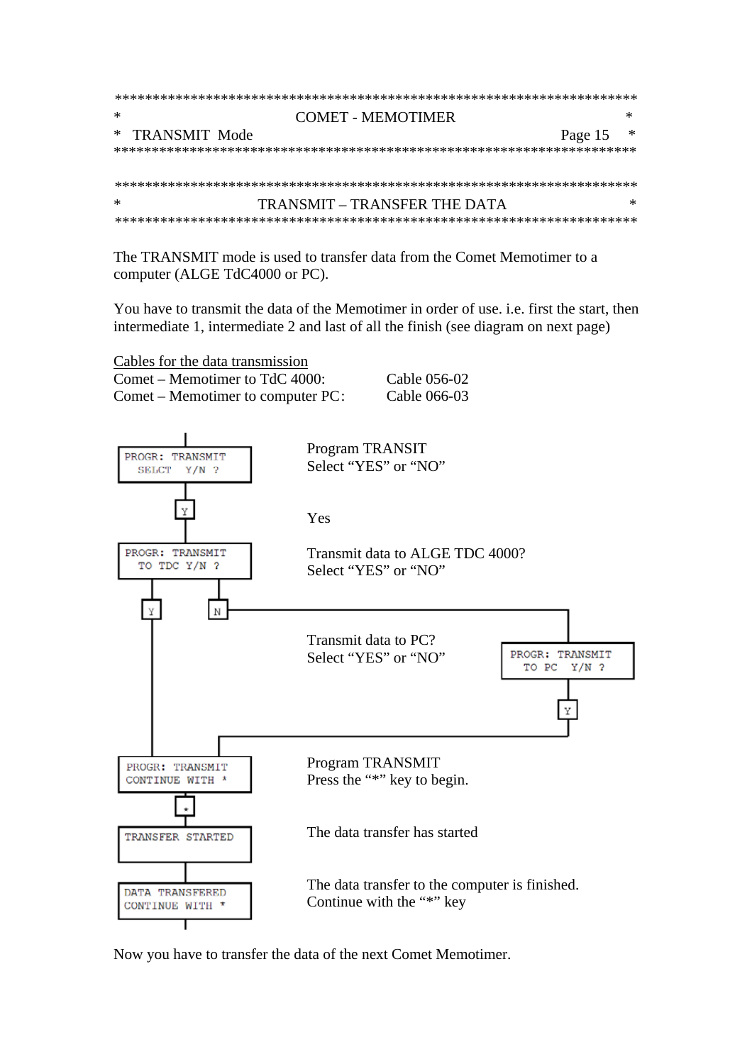| ∗               | COMET - MEMOTIMER            |              |
|-----------------|------------------------------|--------------|
| * TRANSMIT Mode |                              | ж<br>Page 15 |
|                 |                              |              |
|                 |                              |              |
|                 |                              |              |
| ∗               | TRANSMIT – TRANSFER THE DATA | ж            |
|                 |                              |              |

The TRANSMIT mode is used to transfer data from the Comet Memotimer to a computer (ALGE TdC4000 or PC).

You have to transmit the data of the Memotimer in order of use. i.e. first the start, then intermediate 1, intermediate 2 and last of all the finish (see diagram on next page)

| Cables for the data transmission    |              |
|-------------------------------------|--------------|
| Comet – Memotimer to TdC 4000:      | Cable 056-02 |
| $Comet$ – Memotimer to computer PC: | Cable 066-03 |



Now you have to transfer the data of the next Comet Memotimer.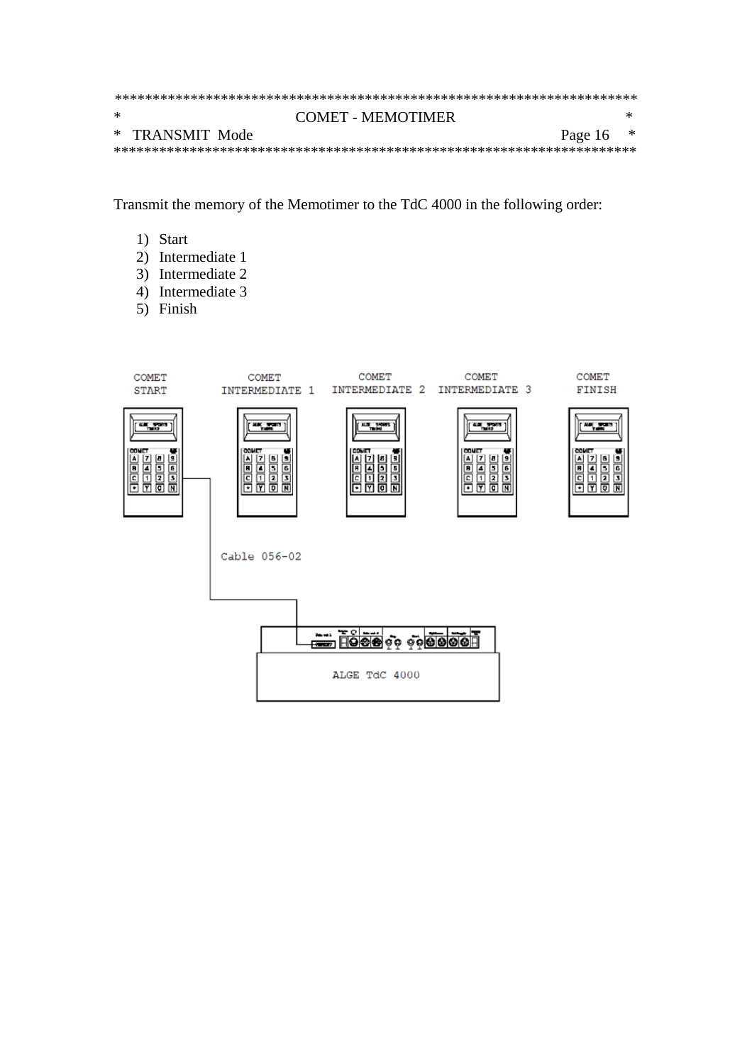| * | COMET - MEMOTIMER          |   |
|---|----------------------------|---|
|   | * TRANSMIT Mode<br>Page 16 | ∗ |
|   |                            |   |

Transmit the memory of the Memotimer to the TdC 4000 in the following order:

- 1) Start
- 2) Intermediate 1
- 3) Intermediate 2
- 4) Intermediate 3
- 5) Finish